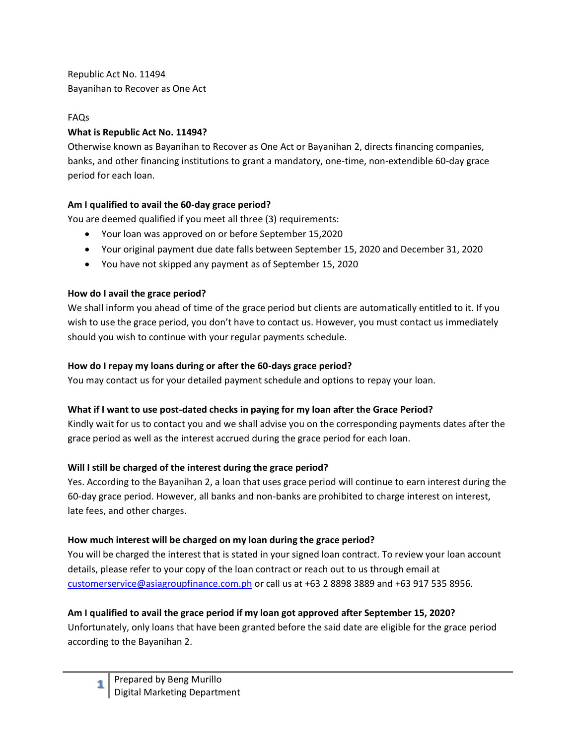Republic Act No. 11494 Bayanihan to Recover as One Act

#### FAQs

#### **What is Republic Act No. 11494?**

Otherwise known as Bayanihan to Recover as One Act or Bayanihan 2, directs financing companies, banks, and other financing institutions to grant a mandatory, one-time, non-extendible 60-day grace period for each loan.

# **Am I qualified to avail the 60-day grace period?**

You are deemed qualified if you meet all three (3) requirements:

- Your loan was approved on or before September 15,2020
- Your original payment due date falls between September 15, 2020 and December 31, 2020
- You have not skipped any payment as of September 15, 2020

# **How do I avail the grace period?**

We shall inform you ahead of time of the grace period but clients are automatically entitled to it. If you wish to use the grace period, you don't have to contact us. However, you must contact us immediately should you wish to continue with your regular payments schedule.

### **How do I repay my loans during or after the 60-days grace period?**

You may contact us for your detailed payment schedule and options to repay your loan.

# **What if I want to use post-dated checks in paying for my loan after the Grace Period?**

Kindly wait for us to contact you and we shall advise you on the corresponding payments dates after the grace period as well as the interest accrued during the grace period for each loan.

# **Will I still be charged of the interest during the grace period?**

Yes. According to the Bayanihan 2, a loan that uses grace period will continue to earn interest during the 60-day grace period. However, all banks and non-banks are prohibited to charge interest on interest, late fees, and other charges.

# **How much interest will be charged on my loan during the grace period?**

You will be charged the interest that is stated in your signed loan contract. To review your loan account details, please refer to your copy of the loan contract or reach out to us through email at [customerservice@asiagroupfinance.com.ph](mailto:customerservice@asiagroupfinance.com.ph) or call us at +63 2 8898 3889 and +63 917 535 8956.

# **Am I qualified to avail the grace period if my loan got approved after September 15, 2020?**

Unfortunately, only loans that have been granted before the said date are eligible for the grace period according to the Bayanihan 2.